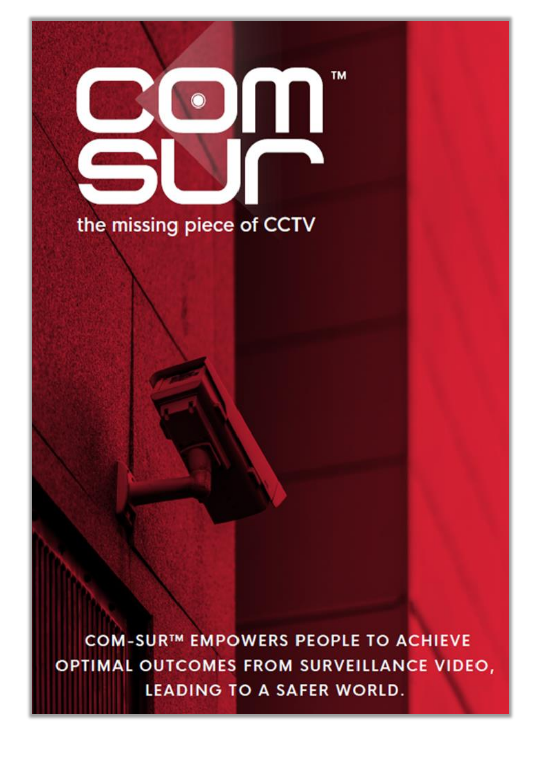# **TM**  $\odot$ the missing piece of CCTV

COM-SUR™ EMPOWERS PEOPLE TO ACHIEVE OPTIMAL OUTCOMES FROM SURVEILLANCE VIDEO, **LEADING TO A SAFER WORLD.**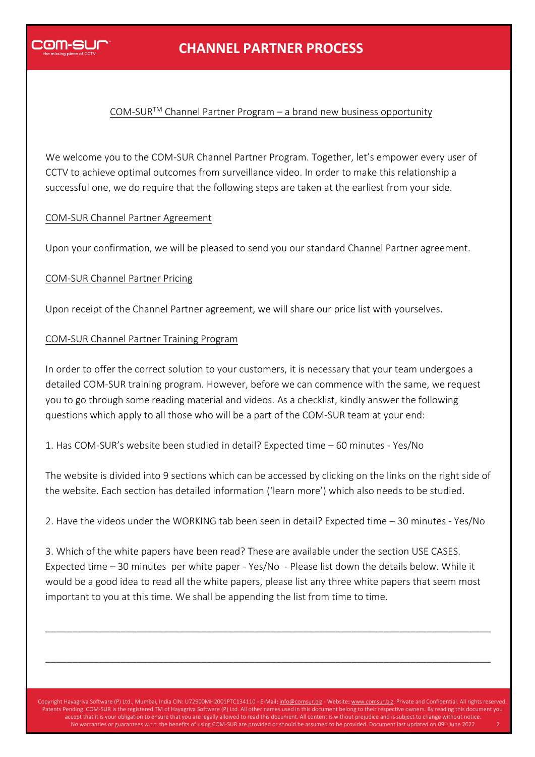

# **CHANNEL PARTNER PROCESS**

### COM-SUR<sup>™</sup> Channel Partner Program – a brand new business opportunity

We welcome you to the COM-SUR Channel Partner Program. Together, let's empower every user of CCTV to achieve optimal outcomes from surveillance video. In order to make this relationship a successful one, we do require that the following steps are taken at the earliest from your side.

## COM-SUR Channel Partner Agreement

Upon your confirmation, we will be pleased to send you our standard Channel Partner agreement.

#### COM-SUR Channel Partner Pricing

Upon receipt of the Channel Partner agreement, we will share our price list with yourselves.

#### COM-SUR Channel Partner Training Program

In order to offer the correct solution to your customers, it is necessary that your team undergoes a detailed COM-SUR training program. However, before we can commence with the same, we request you to go through some reading material and videos. As a checklist, kindly answer the following questions which apply to all those who will be a part of the COM-SUR team at your end:

1. Has COM-SUR's website been studied in detail? Expected time – 60 minutes - Yes/No

The website is divided into 9 sections which can be accessed by clicking on the links on the right side of the website. Each section has detailed information ('learn more') which also needs to be studied.

2. Have the videos under the WORKING tab been seen in detail? Expected time – 30 minutes - Yes/No

3. Which of the white papers have been read? These are available under the section USE CASES. Expected time – 30 minutes per white paper - Yes/No - Please list down the details below. While it would be a good idea to read all the white papers, please list any three white papers that seem most important to you at this time. We shall be appending the list from time to time.

\_\_\_\_\_\_\_\_\_\_\_\_\_\_\_\_\_\_\_\_\_\_\_\_\_\_\_\_\_\_\_\_\_\_\_\_\_\_\_\_\_\_\_\_\_\_\_\_\_\_\_\_\_\_\_\_\_\_\_\_\_\_\_\_\_\_\_\_\_\_\_\_\_\_\_\_\_\_\_\_\_\_\_

\_\_\_\_\_\_\_\_\_\_\_\_\_\_\_\_\_\_\_\_\_\_\_\_\_\_\_\_\_\_\_\_\_\_\_\_\_\_\_\_\_\_\_\_\_\_\_\_\_\_\_\_\_\_\_\_\_\_\_\_\_\_\_\_\_\_\_\_\_\_\_\_\_\_\_\_\_\_\_\_\_\_\_

Copyright Hayagriva Software (P) Ltd., Mumbai, India CIN: U72900MH2001PTC134110 - E-Mail: [info@comsur.biz](mailto:info@comsur.biz) - Website[: www.comsur.biz.](http://www.comsur.biz/) Private and Confidential. All rights reserved. Patents Pending. COM-SUR is the registered TM of Hayagriva Software (P) Ltd. All other names used in this document belong to their respective owners. By reading this document you accept that it is your obligation to ensure that you are legally allowed to read this document. All content is without prejudice and is subject to change without notice. No warranties or guarantees w.r.t. the benefits of using COM-SUR are provided or should be assumed to be provided. Document last updated on 09<sup>th</sup> June 2022.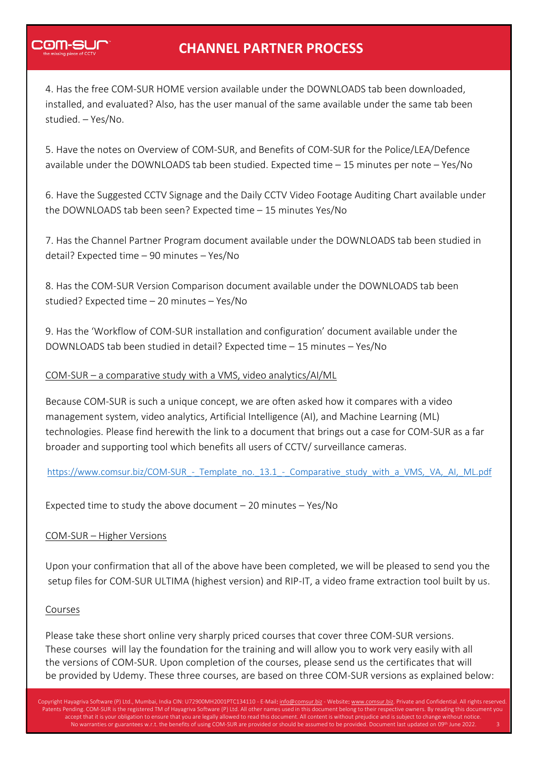

# **CHANNEL PARTNER PROCESS**

4. Has the free COM-SUR HOME version available under the DOWNLOADS tab been downloaded, installed, and evaluated? Also, has the user manual of the same available under the same tab been studied. – Yes/No.

5. Have the notes on Overview of COM-SUR, and Benefits of COM-SUR for the Police/LEA/Defence available under the DOWNLOADS tab been studied. Expected time – 15 minutes per note – Yes/No

6. Have the Suggested CCTV Signage and the Daily CCTV Video Footage Auditing Chart available under the DOWNLOADS tab been seen? Expected time – 15 minutes Yes/No

7. Has the Channel Partner Program document available under the DOWNLOADS tab been studied in detail? Expected time – 90 minutes – Yes/No

8. Has the COM-SUR Version Comparison document available under the DOWNLOADS tab been studied? Expected time – 20 minutes – Yes/No

9. Has the 'Workflow of COM-SUR installation and configuration' document available under the DOWNLOADS tab been studied in detail? Expected time – 15 minutes – Yes/No

## COM-SUR – a comparative study with a VMS, video analytics/AI/ML

Because COM-SUR is such a unique concept, we are often asked how it compares with a video management system, video analytics, Artificial Intelligence (AI), and Machine Learning (ML) technologies. Please find herewith the link to a document that brings out a case for COM-SUR as a far broader and supporting tool which benefits all users of CCTV/ surveillance cameras.

https://www.comsur.biz/COM-SUR - Template no. 13.1 - Comparative study with a VMS, VA, AI, ML.pdf

Expected time to study the above document  $-20$  minutes  $-$  Yes/No

## COM-SUR – Higher Versions

Upon your confirmation that all of the above have been completed, we will be pleased to send you the setup files for COM-SUR ULTIMA (highest version) and RIP-IT, a video frame extraction tool built by us.

## Courses

Please take these short online very sharply priced courses that cover three COM-SUR versions. These courses will lay the foundation for the training and will allow you to work very easily with all the versions of COM-SUR. Upon completion of the courses, please send us the certificates that will be provided by Udemy. These three courses, are based on three COM-SUR versions as explained below:

Copyright Hayagriva Software (P) Ltd., Mumbai, India CIN: U72900MH2001PTC134110 - E-Mail: [info@comsur.biz](mailto:info@comsur.biz) - Website[: www.comsur.biz.](http://www.comsur.biz/) Private and Confidential. All rights reserved Patents Pending. COM-SUR is the registered TM of Hayagriva Software (P) Ltd. All other names used in this document belong to their respective owners. By reading this document you accept that it is your obligation to ensure that you are legally allowed to read this document. All content is without prejudice and is subject to change without notice. No warranties or guarantees w.r.t. the benefits of using COM-SUR are provided or should be assumed to be provided. Document last updated on 09th June 2022.